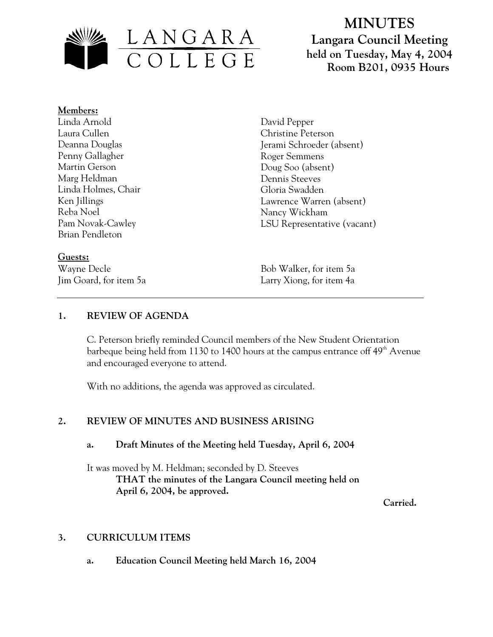

# **MINUTES Langara Council Meeting held on Tuesday, May 4, 2004 Room B201, 0935 Hours**

#### **Members:** Linda Arnold Laura Cullen Deanna Douglas Penny Gallagher Martin Gerson Marg Heldman Linda Holmes, Chair Ken Jillings Reba Noel Pam Novak-Cawley Brian Pendleton

**Guests:**

David Pepper Christine Peterson Jerami Schroeder (absent) Roger Semmens Doug Soo (absent) Dennis Steeves Gloria Swadden Lawrence Warren (absent) Nancy Wickham LSU Representative (vacant)

Wayne Decle Bob Walker, for item 5a Jim Goard, for item 5a Larry Xiong, for item 4a

## **1. REVIEW OF AGENDA**

C. Peterson briefly reminded Council members of the New Student Orientation barbeque being held from 1130 to 1400 hours at the campus entrance off 49<sup>th</sup> Avenue and encouraged everyone to attend.

With no additions, the agenda was approved as circulated.

## **2. REVIEW OF MINUTES AND BUSINESS ARISING**

## **a. Draft Minutes of the Meeting held Tuesday, April 6, 2004**

It was moved by M. Heldman; seconded by D. Steeves **THAT the minutes of the Langara Council meeting held on April 6, 2004, be approved.** 

 **Carried.** 

## **3. CURRICULUM ITEMS**

**a. Education Council Meeting held March 16, 2004**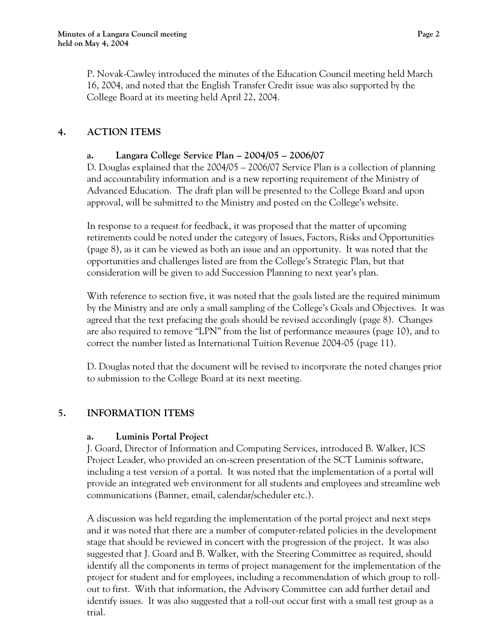P. Novak-Cawley introduced the minutes of the Education Council meeting held March 16, 2004, and noted that the English Transfer Credit issue was also supported by the College Board at its meeting held April 22, 2004.

## **4. ACTION ITEMS**

#### **a. Langara College Service Plan – 2004/05 – 2006/07**

D. Douglas explained that the 2004/05 – 2006/07 Service Plan is a collection of planning and accountability information and is a new reporting requirement of the Ministry of Advanced Education. The draft plan will be presented to the College Board and upon approval, will be submitted to the Ministry and posted on the College's website.

In response to a request for feedback, it was proposed that the matter of upcoming retirements could be noted under the category of Issues, Factors, Risks and Opportunities (page 8), as it can be viewed as both an issue and an opportunity. It was noted that the opportunities and challenges listed are from the College's Strategic Plan, but that consideration will be given to add Succession Planning to next year's plan.

With reference to section five, it was noted that the goals listed are the required minimum by the Ministry and are only a small sampling of the College's Goals and Objectives. It was agreed that the text prefacing the goals should be revised accordingly (page 8). Changes are also required to remove "LPN" from the list of performance measures (page 10), and to correct the number listed as International Tuition Revenue 2004-05 (page 11).

D. Douglas noted that the document will be revised to incorporate the noted changes prior to submission to the College Board at its next meeting.

# **5. INFORMATION ITEMS**

#### **a. Luminis Portal Project**

J. Goard, Director of Information and Computing Services, introduced B. Walker, ICS Project Leader, who provided an on-screen presentation of the SCT Luminis software, including a test version of a portal. It was noted that the implementation of a portal will provide an integrated web environment for all students and employees and streamline web communications (Banner, email, calendar/scheduler etc.).

A discussion was held regarding the implementation of the portal project and next steps and it was noted that there are a number of computer-related policies in the development stage that should be reviewed in concert with the progression of the project. It was also suggested that J. Goard and B. Walker, with the Steering Committee as required, should identify all the components in terms of project management for the implementation of the project for student and for employees, including a recommendation of which group to rollout to first. With that information, the Advisory Committee can add further detail and identify issues. It was also suggested that a roll-out occur first with a small test group as a trial.